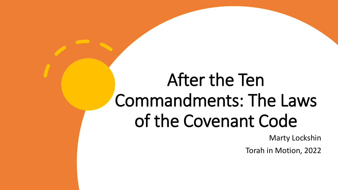# After the Ten Commandments: The Laws of the Covenant Code

Marty Lockshin

Torah in Motion, 2022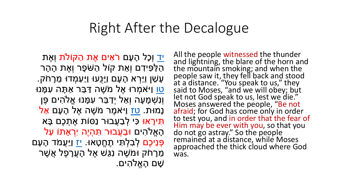#### Right After the Decalogue

<u>[יד](https://he.wikisource.org/wiki/%D7%A7%D7%98%D7%92%D7%95%D7%A8%D7%99%D7%94:%D7%A9%D7%9E%D7%95%D7%AA_%D7%9B_%D7%99%D7%93)</u> וְכָל הָעָם רֹאִים אֶת הַקּוֹלֹת וְאֶת ֿהַלַּפִּידִם וְאֵת קוֹל הַשֹּׁפָר וְאֶת הָהָר עָשֶׁן וַיַּרְא הָעָם וַיָּנֻעוּ וַיַּעַמְדוּ מֵרָחֹק. <mark>ּ[טו](https://he.wikisource.org/wiki/%D7%A7%D7%98%D7%92%D7%95%D7%A8%D7%99%D7%94:%D7%A9%D7%9E%D7%95%D7%AA_%D7%9B_%D7%98%D7%95) וַ</mark>יּאֹמְרוּ אֶל מֹשֶׁה דַּבֵּר אַתָּה עָמַנוּ וְנִשְׁמָעָה וְאַל יְדַבֵּר עִמָּנוּ אֱלֹהִים פֶּן ַנָּמוּת. <u>[טז](https://he.wikisource.org/wiki/%D7%A7%D7%98%D7%92%D7%95%D7%A8%D7%99%D7%94:%D7%A9%D7%9E%D7%95%D7%AA_%D7%9B_%D7%98%D7%96)</u> וַיּ<sup>ֵ</sup>אמֶר מֹשֶׁה אֶל הָעָם אַל תִ**ירָאוּ כִּי לְבַעֲבוּר נַסּוֹת אֶתָכֶם בָּא** ּהָאֵלֹהִים וּבַעֲבוּר תִּהָיֵה יִרְאָתוֹ עַל פְּנֵיכֶם לְבִלְתִּי תֶחֱטָאוּ. <u>[יז](https://he.wikisource.org/wiki/%D7%A7%D7%98%D7%92%D7%95%D7%A8%D7%99%D7%94:%D7%A9%D7%9E%D7%95%D7%AA_%D7%9B_%D7%99%D7%96) וו</u>ַיעֲמֹד הָעָם ּמֵרַחֹק וּמֹשֶׁה נְגַּשׁ אֶל הָעֲרָפֶל אֲשֶׁר שָ ם הָ אֱֹלהִ ים.

All the people witnessed the thunder and lightning, the blare of the horn and the mountain smoking; and when the people saw it, they fell back and stood at a distance. "You speak to us," they said to Moses, "and we will obey; but let not God speak to us, lest we die." Moses answered the people, "Be not afraid; for God has come only in order to test you, and in order that the fear of Him may be ever with you, so that you do not go astray." So the people remained at a distance, while Moses approached the thick cloud where God was.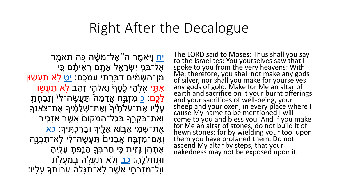#### Right After the Decalogue

<mark>ֿיַח וַ</mark>יּאמֶר ה<sup>יי</sup>אֵל־מֹשֶׁה כָּה תֹאמַר ֿאֶל־בָּנֵי יִשְׂרָאֵ*ֶ*ל אַתֵּם רְאִיתֶֿם כֵּי מִן־הַשָּׁמַ֫יִם דִּבַּרְתִּי עִמָּכֶם: <u>יט</u> לֹא תַעֲשָׂוּן ּאִתֵּי אֵלָהֵי כֶּסֵף<sub>ׁ</sub> וֵאלֹהֵי זָהָב לִ**ֹּא תַעֲשָׂוּ** לָכֶם: <u>כ</u> מִזְבֵּח אֲדָמָה ׁתַּעֲשֶׂה־לִי וְזָבַחְתֵּ ּעָלָׂיו אֶת־עֹלֹתֶי<sup>ֹ</sup>ךָ וְאֶת־שְׁלָמֶֽיךָ אֶת־צְאֹנְךָ וְאֶת־בְּקָרֶךְ בְּכָל־הַמָּקוֹם<sup>ֹ</sup> אֲשֶׁר אַזְכִּיר ֿאֶת־שָׁמִ֫י אָבוֹא אֵלֵיךָ וּבֵרַכְתֵּיךָ: <u>[כא](https://he.wikisource.org/wiki/%D7%A9%D7%9E%D7%95%D7%AA_%D7%9B_%D7%9B%D7%90)</u> וְאִם־מִזְ<u>בָּ</u>ח אֲבָנִים<sup>ְ</sup> תֵּעֲשֶׂה־לְּי לְאֹ־תָבְנֵה אֶתְהֶן גָּזֵית כֶּי חַרְבְּךָ*ּ* הֵנַ<sub>ּ</sub>פְתָּ עָלֶיהָ וַתְּחַלְלֶהָ: <u>[כב](https://he.wikisource.org/wiki/%D7%A9%D7%9E%D7%95%D7%AA_%D7%9B_%D7%9B%D7%91)</u> וְלְאֹ־תַעֲלֶה בְמַעֲלָׂת ַעֲל־מִזְבָּחֵי אֲשֵׁר לְאֹ־תָגָּלֶה עֶרְוָתְךָּ עָלֶיו:

The LORD said to Moses: Thus shall you say to the Israelites: You yourselves saw that I spoke to you from the very heavens: With Me, therefore, you shall not make any gods of silver, nor shall you make for yourselves any gods of gold. Make for Me an altar of earth and sacrifice on it your burnt offerings and your sacrifices of well-being, your sheep and your oxen; in every place where I cause My name to be mentioned I will come to you and bless you. And if you make for Me an altar of stones, do not build it of hewn stones; for by wielding your tool upon them you have profaned them. Do not ascend My altar by steps, that your nakedness may not be exposed upon it.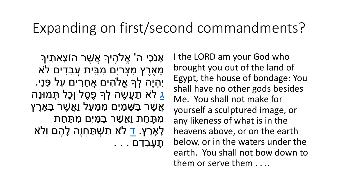# Expanding on first/second commandments?

ֿאָנֹכִי ה' אֵלֹהֵיךָ אֲשֶׁר הוֹצֵאתִיךָ מֵאֶרֶץ מִצְרַיִם מִבִּית עֲבָדִים לֹא יִהְ יֶה לְ ך אֱֹלהִ ים אֲחֵ רִ ים עַ ל פָ נָי. [ג](https://he.wikisource.org/wiki/%D7%A7%D7%98%D7%92%D7%95%D7%A8%D7%99%D7%94:%D7%A9%D7%9E%D7%95%D7%AA_%D7%9B_%D7%92) לֹא תַעֲשֶׂה לְךָ פֶסֶל וְכָל תְּמוּנָה א<u>ָ</u>שֶׁר בַּשָׁמַיִם מִמַּעַל וַאֲשֶׁר בָּאָרֶץ מִתַּחַת וַאֲשֶׁר בַּמַּיִם מִתַּחַת לָאָרֶץ. <u>[ד](https://he.wikisource.org/wiki/%D7%A7%D7%98%D7%92%D7%95%D7%A8%D7%99%D7%94:%D7%A9%D7%9E%D7%95%D7%AA_%D7%9B_%D7%93)</u> לֹא תִשְׁתַּחָוֶה לָהֶם וְלֹא ּתָעָבְדֵם . . .

I the LORD am your God who brought you out of the land of Egypt, the house of bondage: You shall have no other gods besides Me. You shall not make for yourself a sculptured image, or any likeness of what is in the heavens above, or on the earth below, or in the waters under the earth. You shall not bow down to them or serve them . . ..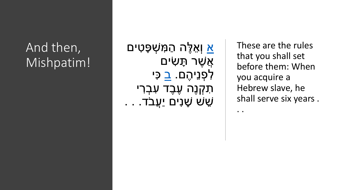# And then, Mishpatim!

```
א וְ</mark>אֵלֶּה הַמָּשְׁפָּטִים
           אֲשֶ ר תָ שִ ים 
        לִפְנֵיהֶם. <u>ב</u> כִּי
   תִקְנֶה עֶבֶד עִבְרִי
שֵ ש שָ נִים יַעֲבֹד. . .
```
These are the rules that you shall set before them: When you acquire a Hebrew slave, he shall serve six years .

 $\bullet$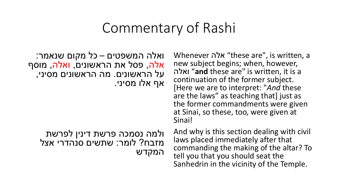# Commentary of Rashi

Whenever אלה" these are", is written, a new subject begins; when, however, ואלה" **and** these are" is written, it is a continuation of the former subject. [Here we are to interpret: "*And* these are the laws" as teaching that] just as the former commandments were given at Sinai, so these, too, were given at Sinai!

And why is this section dealing with civil laws placed immediately after that commanding the making of the altar? To tell you that you should seat the Sanhedrin in the vicinity of the Temple.

ואלה המשפטים – כל מקום שנאמר: אלה, פסל את הראשונים, ואלה, מוסף על הראשונים. מה הראשונים מסיני, אף אלו מסיני.

ולמה נסמכה פרשת דינין לפרשת מזבח? לומר: שתשים סנהדרי אצל המקדש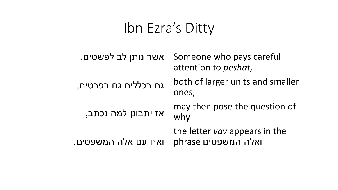# Ibn Ezra's Ditty

| אשר נותן לב לפשטים,  | Someone who pays careful<br>attention to peshat,     |
|----------------------|------------------------------------------------------|
| גם בכללים גם בפרטים, | both of larger units and smaller<br>ones,            |
| אז יתבונן למה נכתב,  | may then pose the question of<br>why                 |
| וא״ו עם אלה המשפטים. | the letter vav appears in the<br>ואלה המשפטים phrase |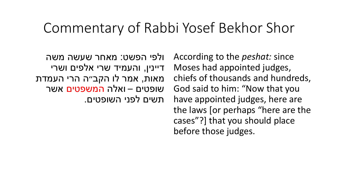# Commentary of Rabbi Yosef Bekhor Shor

ולפי הפשט: מאחר שעשה משה דיינין, והעמיד שרי אלפים ושרי מאות, אמר לו הקב״ה הרי העמדת שופטים – ואלה המשפטים אשר תשים לפני השופטים. According to the *peshat:* since Moses had appointed judges, chiefs of thousands and hundreds, God said to him: "Now that you have appointed judges, here are the laws [or perhaps "here are the cases"?] that you should place before those judges.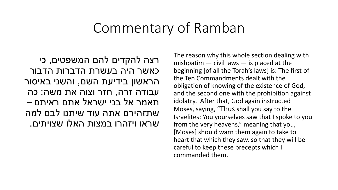#### Commentary of Ramban

רצה להקדים להם המשפטים, כי כאשר היה בעשרת הדברות הדבור הראשון בידיעת השם, והשני באיסור עבודה זרה, חזר וצוה את משה: כה תאמר אל בני ישראל אתם ראיתם – שתזהירם אתה עוד שיתנו לבם למה שראו ויזהרו במצות האלו שצויתים.

The reason why this whole section dealing with mishpatim  $-$  civil laws  $-$  is placed at the beginning [of all the Torah's laws] is: The first of the Ten Commandments dealt with the obligation of knowing of the existence of God, and the second one with the prohibition against idolatry. After that, God again instructed Moses, saying, "Thus shall you say to the Israelites: You yourselves saw that I spoke to you from the very heavens," meaning that you, [Moses] should warn them again to take to heart that which they saw, so that they will be careful to keep these precepts which I commanded them.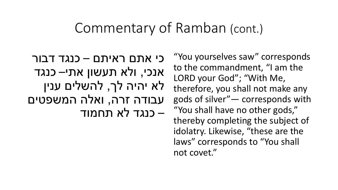#### Commentary of Ramban (cont.)

כי אתם ראיתם – כנגד דבור אנכי, ולא תעשון אתי– כנגד לא יהיה לך, להשלים ענין עבודה זרה, ואלה המשפטים – כנגד לא תחמוד

"You yourselves saw" corresponds to the commandment, "I am the LORD your God"; "With Me, therefore, you shall not make any gods of silver"— corresponds with "You shall have no other gods," thereby completing the subject of idolatry. Likewise, "these are the laws" corresponds to "You shall not covet."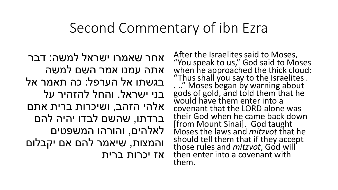#### Second Commentary of ibn Ezra

אחר שאמרו ישראל למשה: דבר אתה עמנו אמר השם למשה בגשתו אל הערפל: כה תאמר אל בני ישראל. והחל להזהיר על אלהי הזהב, ושיכרות ברית אתם ברדתו, שהשם לבדו יהיה להם לאלהים, והורהו המשפטים והמצות, שיאמר להם אם יקבלום אז יכרות ברית

After the Israelites said to Moses, "You speak to us," God said to Moses when he approached the thick cloud: "Thus shall you say to the Israelites . ..." Moses began by warning about gods of gold, and told them that he would have them enter into a covenant that the LORD alone was their God when he came back down [from Mount Sinai]. God taught Moses the laws and *mitzvot* that he should tell them that if they accept those rules and *mitzvot*, God will then enter into a covenant with them.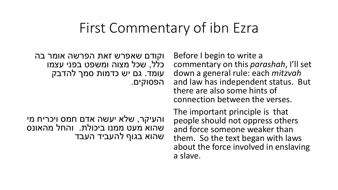#### First Commentary of ibn Ezra

וקודם שאפרש זאת הפרשה אומר בה כלל, שכל מצוה ומשפט בפני עצמו עומד. גם יש כדמות סמך להדבק הפסוקים.

והעיקר, שלא יעשה אדם חמס ויכריח מי שהוא מעט ממנו ביכולת. והחל מהאונס שהוא בגוף להעביד העבד

Before I begin to write a commentary on this *parashah*, I'll set down a general rule: each *mitzvah* and law has independent status. But there are also some hints of connection between the verses.

The important principle is that people should not oppress others and force someone weaker than them. So the text began with laws about the force involved in enslaving a slave.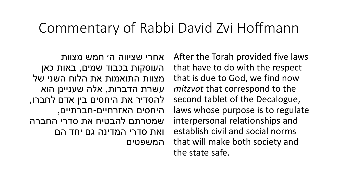### Commentary of Rabbi David Zvi Hoffmann

אחרי שציווה ה׳ חמש מצוות העוסקות בכבוד שמים, באות כאן מצוות התואמות את הלוח השני של עשרת הדברות, אלה שעניינן הוא להסדיר את היחסים בין אדם לחברו, היחסים האזרחיים-חברתיים, שמטרתם להבטיח את סדרי החברה ואת סדרי המדינה גם יחד הם המשפטים

After the Torah provided five laws that have to do with the respect that is due to God, we find now *mitzvot* that correspond to the second tablet of the Decalogue, laws whose purpose is to regulate interpersonal relationships and establish civil and social norms that will make both society and the state safe.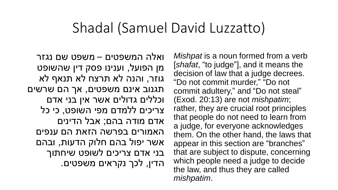#### Shadal (Samuel David Luzzatto)

ואלה המשפטים – משפט שם נגזר מן הפועל, וענינו פסק דין שהשופט גוזר, והנה לא תרצח לא תנאף לא תגנוב אינם משפטים, אך הם שרשים וכללים גדולים אשר אין בני אדם צריכים ללמדם מפי השופט, כי כל אדם מודה בהם; אבל הדינים האמורים בפרשה הזאת הם ענפים אשר יפול בהם חלוק הדעות, ובהם בני אדם צריכים לשופט שיחתוך הדין, לכך נקראים משפטים.

*Mishpat* is a noun formed from a verb [*shafat*, "to judge"], and it means the decision of law that a judge decrees. "Do not commit murder," "Do not commit adultery," and "Do not steal" (Exod. 20:13) are not *mishpatim*; rather, they are crucial root principles that people do not need to learn from a judge, for everyone acknowledges them. On the other hand, the laws that appear in this section are "branches" that are subject to dispute, concerning which people need a judge to decide the law, and thus they are called *mishpatim*.